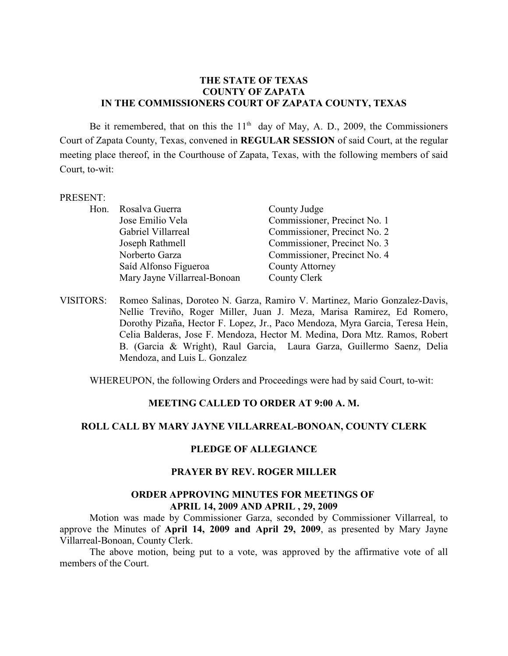### **THE STATE OF TEXAS COUNTY OF ZAPATA IN THE COMMISSIONERS COURT OF ZAPATA COUNTY, TEXAS**

Be it remembered, that on this the  $11<sup>th</sup>$  day of May, A. D., 2009, the Commissioners Court of Zapata County, Texas, convened in **REGULAR SESSION** of said Court, at the regular meeting place thereof, in the Courthouse of Zapata, Texas, with the following members of said Court, to-wit:

#### PRESENT:

| Hon. | Rosalva Guerra               | County Judge                 |
|------|------------------------------|------------------------------|
|      | Jose Emilio Vela             | Commissioner, Precinct No. 1 |
|      | Gabriel Villarreal           | Commissioner, Precinct No. 2 |
|      | Joseph Rathmell              | Commissioner, Precinct No. 3 |
|      | Norberto Garza               | Commissioner, Precinct No. 4 |
|      | Saíd Alfonso Figueroa        | <b>County Attorney</b>       |
|      | Mary Jayne Villarreal-Bonoan | County Clerk                 |

VISITORS: Romeo Salinas, Doroteo N. Garza, Ramiro V. Martinez, Mario Gonzalez-Davis, Nellie Treviño, Roger Miller, Juan J. Meza, Marisa Ramirez, Ed Romero, Dorothy Pizaña, Hector F. Lopez, Jr., Paco Mendoza, Myra Garcia, Teresa Hein, Celia Balderas, Jose F. Mendoza, Hector M. Medina, Dora Mtz. Ramos, Robert B. (Garcia & Wright), Raul Garcia, Laura Garza, Guillermo Saenz, Delia Mendoza, and Luis L. Gonzalez

WHEREUPON, the following Orders and Proceedings were had by said Court, to-wit:

## **MEETING CALLED TO ORDER AT 9:00 A. M.**

## **ROLL CALL BY MARY JAYNE VILLARREAL-BONOAN, COUNTY CLERK**

## **PLEDGE OF ALLEGIANCE**

#### **PRAYER BY REV. ROGER MILLER**

#### **ORDER APPROVING MINUTES FOR MEETINGS OF APRIL 14, 2009 AND APRIL , 29, 2009**

Motion was made by Commissioner Garza, seconded by Commissioner Villarreal, to approve the Minutes of **April 14, 2009 and April 29, 2009**, as presented by Mary Jayne Villarreal-Bonoan, County Clerk.

The above motion, being put to a vote, was approved by the affirmative vote of all members of the Court.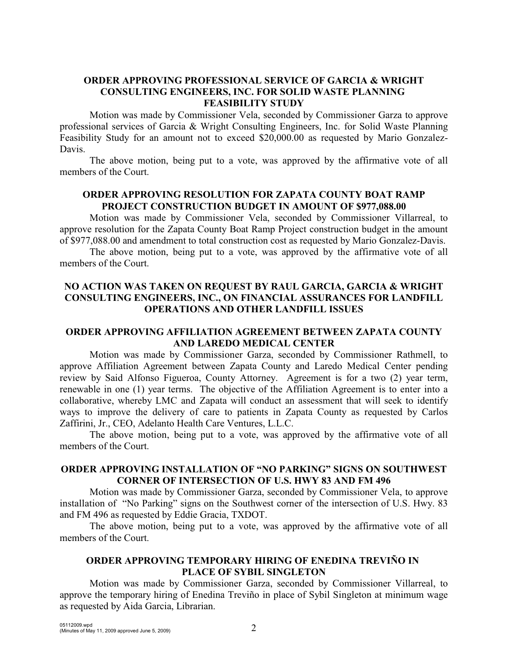# **ORDER APPROVING PROFESSIONAL SERVICE OF GARCIA & WRIGHT CONSULTING ENGINEERS, INC. FOR SOLID WASTE PLANNING FEASIBILITY STUDY**

Motion was made by Commissioner Vela, seconded by Commissioner Garza to approve professional services of Garcia & Wright Consulting Engineers, Inc. for Solid Waste Planning Feasibility Study for an amount not to exceed \$20,000.00 as requested by Mario Gonzalez-Davis.

The above motion, being put to a vote, was approved by the affirmative vote of all members of the Court.

## **ORDER APPROVING RESOLUTION FOR ZAPATA COUNTY BOAT RAMP PROJECT CONSTRUCTION BUDGET IN AMOUNT OF \$977,088.00**

Motion was made by Commissioner Vela, seconded by Commissioner Villarreal, to approve resolution for the Zapata County Boat Ramp Project construction budget in the amount of \$977,088.00 and amendment to total construction cost as requested by Mario Gonzalez-Davis.

The above motion, being put to a vote, was approved by the affirmative vote of all members of the Court.

# **NO ACTION WAS TAKEN ON REQUEST BY RAUL GARCIA, GARCIA & WRIGHT CONSULTING ENGINEERS, INC., ON FINANCIAL ASSURANCES FOR LANDFILL OPERATIONS AND OTHER LANDFILL ISSUES**

### **ORDER APPROVING AFFILIATION AGREEMENT BETWEEN ZAPATA COUNTY AND LAREDO MEDICAL CENTER**

Motion was made by Commissioner Garza, seconded by Commissioner Rathmell, to approve Affiliation Agreement between Zapata County and Laredo Medical Center pending review by Said Alfonso Figueroa, County Attorney. Agreement is for a two (2) year term, renewable in one (1) year terms. The objective of the Affiliation Agreement is to enter into a collaborative, whereby LMC and Zapata will conduct an assessment that will seek to identify ways to improve the delivery of care to patients in Zapata County as requested by Carlos Zaffirini, Jr., CEO, Adelanto Health Care Ventures, L.L.C.

The above motion, being put to a vote, was approved by the affirmative vote of all members of the Court.

# **ORDER APPROVING INSTALLATION OF "NO PARKING" SIGNS ON SOUTHWEST CORNER OF INTERSECTION OF U.S. HWY 83 AND FM 496**

Motion was made by Commissioner Garza, seconded by Commissioner Vela, to approve installation of "No Parking" signs on the Southwest corner of the intersection of U.S. Hwy. 83 and FM 496 as requested by Eddie Gracia, TXDOT.

The above motion, being put to a vote, was approved by the affirmative vote of all members of the Court.

# **ORDER APPROVING TEMPORARY HIRING OF ENEDINA TREVIÑO IN PLACE OF SYBIL SINGLETON**

Motion was made by Commissioner Garza, seconded by Commissioner Villarreal, to approve the temporary hiring of Enedina Treviño in place of Sybil Singleton at minimum wage as requested by Aida Garcia, Librarian.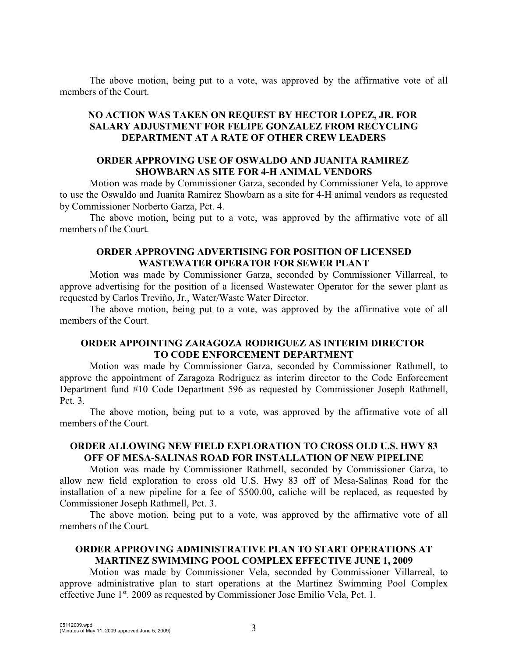The above motion, being put to a vote, was approved by the affirmative vote of all members of the Court.

# **NO ACTION WAS TAKEN ON REQUEST BY HECTOR LOPEZ, JR. FOR SALARY ADJUSTMENT FOR FELIPE GONZALEZ FROM RECYCLING DEPARTMENT AT A RATE OF OTHER CREW LEADERS**

## **ORDER APPROVING USE OF OSWALDO AND JUANITA RAMIREZ SHOWBARN AS SITE FOR 4-H ANIMAL VENDORS**

Motion was made by Commissioner Garza, seconded by Commissioner Vela, to approve to use the Oswaldo and Juanita Ramirez Showbarn as a site for 4-H animal vendors as requested by Commissioner Norberto Garza, Pct. 4.

The above motion, being put to a vote, was approved by the affirmative vote of all members of the Court.

## **ORDER APPROVING ADVERTISING FOR POSITION OF LICENSED WASTEWATER OPERATOR FOR SEWER PLANT**

Motion was made by Commissioner Garza, seconded by Commissioner Villarreal, to approve advertising for the position of a licensed Wastewater Operator for the sewer plant as requested by Carlos Treviño, Jr., Water/Waste Water Director.

The above motion, being put to a vote, was approved by the affirmative vote of all members of the Court.

## **ORDER APPOINTING ZARAGOZA RODRIGUEZ AS INTERIM DIRECTOR TO CODE ENFORCEMENT DEPARTMENT**

Motion was made by Commissioner Garza, seconded by Commissioner Rathmell, to approve the appointment of Zaragoza Rodriguez as interim director to the Code Enforcement Department fund #10 Code Department 596 as requested by Commissioner Joseph Rathmell, Pct. 3.

The above motion, being put to a vote, was approved by the affirmative vote of all members of the Court.

# **ORDER ALLOWING NEW FIELD EXPLORATION TO CROSS OLD U.S. HWY 83 OFF OF MESA-SALINAS ROAD FOR INSTALLATION OF NEW PIPELINE**

Motion was made by Commissioner Rathmell, seconded by Commissioner Garza, to allow new field exploration to cross old U.S. Hwy 83 off of Mesa-Salinas Road for the installation of a new pipeline for a fee of \$500.00, caliche will be replaced, as requested by Commissioner Joseph Rathmell, Pct. 3.

The above motion, being put to a vote, was approved by the affirmative vote of all members of the Court.

# **ORDER APPROVING ADMINISTRATIVE PLAN TO START OPERATIONS AT MARTINEZ SWIMMING POOL COMPLEX EFFECTIVE JUNE 1, 2009**

Motion was made by Commissioner Vela, seconded by Commissioner Villarreal, to approve administrative plan to start operations at the Martinez Swimming Pool Complex effective June  $1<sup>st</sup>$ . 2009 as requested by Commissioner Jose Emilio Vela, Pct. 1.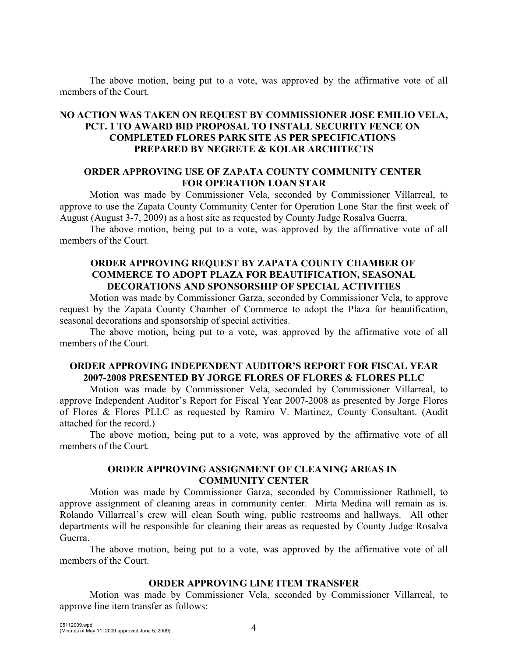The above motion, being put to a vote, was approved by the affirmative vote of all members of the Court.

# **NO ACTION WAS TAKEN ON REQUEST BY COMMISSIONER JOSE EMILIO VELA, PCT. 1 TO AWARD BID PROPOSAL TO INSTALL SECURITY FENCE ON COMPLETED FLORES PARK SITE AS PER SPECIFICATIONS PREPARED BY NEGRETE & KOLAR ARCHITECTS**

### **ORDER APPROVING USE OF ZAPATA COUNTY COMMUNITY CENTER FOR OPERATION LOAN STAR**

Motion was made by Commissioner Vela, seconded by Commissioner Villarreal, to approve to use the Zapata County Community Center for Operation Lone Star the first week of August (August 3-7, 2009) as a host site as requested by County Judge Rosalva Guerra.

The above motion, being put to a vote, was approved by the affirmative vote of all members of the Court.

### **ORDER APPROVING REQUEST BY ZAPATA COUNTY CHAMBER OF COMMERCE TO ADOPT PLAZA FOR BEAUTIFICATION, SEASONAL DECORATIONS AND SPONSORSHIP OF SPECIAL ACTIVITIES**

Motion was made by Commissioner Garza, seconded by Commissioner Vela, to approve request by the Zapata County Chamber of Commerce to adopt the Plaza for beautification, seasonal decorations and sponsorship of special activities.

The above motion, being put to a vote, was approved by the affirmative vote of all members of the Court.

## **ORDER APPROVING INDEPENDENT AUDITOR'S REPORT FOR FISCAL YEAR 2007-2008 PRESENTED BY JORGE FLORES OF FLORES & FLORES PLLC**

Motion was made by Commissioner Vela, seconded by Commissioner Villarreal, to approve Independent Auditor's Report for Fiscal Year 2007-2008 as presented by Jorge Flores of Flores & Flores PLLC as requested by Ramiro V. Martinez, County Consultant. (Audit attached for the record.)

The above motion, being put to a vote, was approved by the affirmative vote of all members of the Court.

## **ORDER APPROVING ASSIGNMENT OF CLEANING AREAS IN COMMUNITY CENTER**

Motion was made by Commissioner Garza, seconded by Commissioner Rathmell, to approve assignment of cleaning areas in community center. Mirta Medina will remain as is. Rolando Villarreal's crew will clean South wing, public restrooms and hallways. All other departments will be responsible for cleaning their areas as requested by County Judge Rosalva Guerra.

The above motion, being put to a vote, was approved by the affirmative vote of all members of the Court.

# **ORDER APPROVING LINE ITEM TRANSFER**

Motion was made by Commissioner Vela, seconded by Commissioner Villarreal, to approve line item transfer as follows: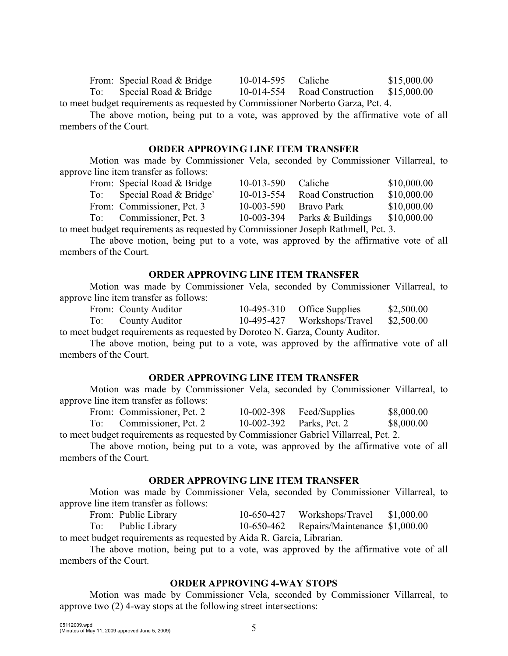|  | From: Special Road & Bridge                                    |  | 10-014-595 Caliche |  | \$15,000.00                              |  |
|--|----------------------------------------------------------------|--|--------------------|--|------------------------------------------|--|
|  | To: Special Road & Bridge                                      |  |                    |  | 10-014-554 Road Construction \$15,000.00 |  |
|  | $\mathbf{u}$ , the state $\mathbf{u}$ , the state $\mathbf{u}$ |  |                    |  |                                          |  |

to meet budget requirements as requested by Commissioner Norberto Garza, Pct. 4.

The above motion, being put to a vote, was approved by the affirmative vote of all members of the Court.

### **ORDER APPROVING LINE ITEM TRANSFER**

Motion was made by Commissioner Vela, seconded by Commissioner Villarreal, to approve line item transfer as follows:

|     | From: Special Road & Bridge | $10 - 013 - 590$ | Caliche           | \$10,000.00 |
|-----|-----------------------------|------------------|-------------------|-------------|
| To: | Special Road & Bridge       | $10 - 013 - 554$ | Road Construction | \$10,000.00 |
|     | From: Commissioner, Pct. 3  | 10-003-590       | Bravo Park        | \$10,000.00 |
| To: | Commissioner, Pct. 3        | 10-003-394       | Parks & Buildings | \$10,000.00 |
|     |                             |                  |                   |             |

to meet budget requirements as requested by Commissioner Joseph Rathmell, Pct. 3.

The above motion, being put to a vote, was approved by the affirmative vote of all members of the Court.

## **ORDER APPROVING LINE ITEM TRANSFER**

Motion was made by Commissioner Vela, seconded by Commissioner Villarreal, to approve line item transfer as follows:

| From: County Auditor | 10-495-310 Office Supplies             | \$2,500.00 |
|----------------------|----------------------------------------|------------|
| To: County Auditor   | 10-495-427 Workshops/Travel \$2,500.00 |            |

to meet budget requirements as requested by Doroteo N. Garza, County Auditor.

The above motion, being put to a vote, was approved by the affirmative vote of all members of the Court.

#### **ORDER APPROVING LINE ITEM TRANSFER**

Motion was made by Commissioner Vela, seconded by Commissioner Villarreal, to approve line item transfer as follows:

| From: Commissioner, Pct. 2 | 10-002-398 Feed/Supplies | \$8,000.00 |
|----------------------------|--------------------------|------------|
| To: Commissioner, Pct. 2   | 10-002-392 Parks, Pct. 2 | \$8,000.00 |

to meet budget requirements as requested by Commissioner Gabriel Villarreal, Pct. 2.

The above motion, being put to a vote, was approved by the affirmative vote of all members of the Court.

# **ORDER APPROVING LINE ITEM TRANSFER**

Motion was made by Commissioner Vela, seconded by Commissioner Villarreal, to approve line item transfer as follows:

From: Public Library 10-650-427 Workshops/Travel \$1,000.00 To: Public Library 10-650-462 Repairs/Maintenance \$1,000.00

to meet budget requirements as requested by Aida R. Garcia, Librarian.

The above motion, being put to a vote, was approved by the affirmative vote of all members of the Court.

# **ORDER APPROVING 4-WAY STOPS**

Motion was made by Commissioner Vela, seconded by Commissioner Villarreal, to approve two (2) 4-way stops at the following street intersections: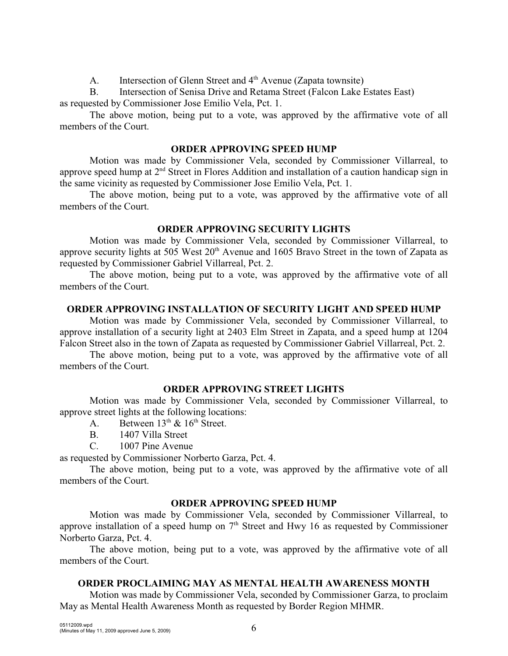A. Intersection of Glenn Street and 4<sup>th</sup> Avenue (Zapata townsite)

B. Intersection of Senisa Drive and Retama Street (Falcon Lake Estates East) as requested by Commissioner Jose Emilio Vela, Pct. 1.

The above motion, being put to a vote, was approved by the affirmative vote of all members of the Court.

### **ORDER APPROVING SPEED HUMP**

Motion was made by Commissioner Vela, seconded by Commissioner Villarreal, to approve speed hump at  $2<sup>nd</sup>$  Street in Flores Addition and installation of a caution handicap sign in the same vicinity as requested by Commissioner Jose Emilio Vela, Pct. 1.

The above motion, being put to a vote, was approved by the affirmative vote of all members of the Court.

## **ORDER APPROVING SECURITY LIGHTS**

Motion was made by Commissioner Vela, seconded by Commissioner Villarreal, to approve security lights at 505 West  $20<sup>th</sup>$  Avenue and 1605 Bravo Street in the town of Zapata as requested by Commissioner Gabriel Villarreal, Pct. 2.

The above motion, being put to a vote, was approved by the affirmative vote of all members of the Court.

### **ORDER APPROVING INSTALLATION OF SECURITY LIGHT AND SPEED HUMP**

Motion was made by Commissioner Vela, seconded by Commissioner Villarreal, to approve installation of a security light at 2403 Elm Street in Zapata, and a speed hump at 1204 Falcon Street also in the town of Zapata as requested by Commissioner Gabriel Villarreal, Pct. 2.

The above motion, being put to a vote, was approved by the affirmative vote of all members of the Court.

## **ORDER APPROVING STREET LIGHTS**

Motion was made by Commissioner Vela, seconded by Commissioner Villarreal, to approve street lights at the following locations:

- A. Between  $13^{th}$  &  $16^{th}$  Street.
- B. 1407 Villa Street
- C. 1007 Pine Avenue

as requested by Commissioner Norberto Garza, Pct. 4.

The above motion, being put to a vote, was approved by the affirmative vote of all members of the Court.

#### **ORDER APPROVING SPEED HUMP**

Motion was made by Commissioner Vela, seconded by Commissioner Villarreal, to approve installation of a speed hump on  $7<sup>th</sup>$  Street and Hwy 16 as requested by Commissioner Norberto Garza, Pct. 4.

The above motion, being put to a vote, was approved by the affirmative vote of all members of the Court.

# **ORDER PROCLAIMING MAY AS MENTAL HEALTH AWARENESS MONTH**

Motion was made by Commissioner Vela, seconded by Commissioner Garza, to proclaim May as Mental Health Awareness Month as requested by Border Region MHMR.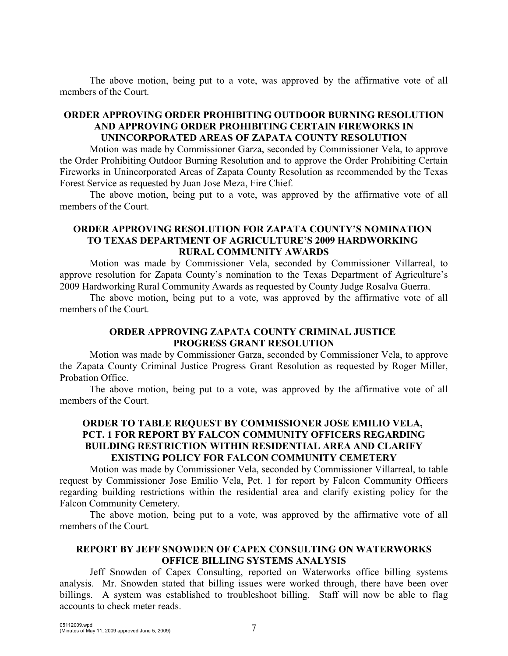The above motion, being put to a vote, was approved by the affirmative vote of all members of the Court.

# **ORDER APPROVING ORDER PROHIBITING OUTDOOR BURNING RESOLUTION AND APPROVING ORDER PROHIBITING CERTAIN FIREWORKS IN UNINCORPORATED AREAS OF ZAPATA COUNTY RESOLUTION**

Motion was made by Commissioner Garza, seconded by Commissioner Vela, to approve the Order Prohibiting Outdoor Burning Resolution and to approve the Order Prohibiting Certain Fireworks in Unincorporated Areas of Zapata County Resolution as recommended by the Texas Forest Service as requested by Juan Jose Meza, Fire Chief.

The above motion, being put to a vote, was approved by the affirmative vote of all members of the Court.

# **ORDER APPROVING RESOLUTION FOR ZAPATA COUNTY'S NOMINATION TO TEXAS DEPARTMENT OF AGRICULTURE'S 2009 HARDWORKING RURAL COMMUNITY AWARDS**

Motion was made by Commissioner Vela, seconded by Commissioner Villarreal, to approve resolution for Zapata County's nomination to the Texas Department of Agriculture's 2009 Hardworking Rural Community Awards as requested by County Judge Rosalva Guerra.

The above motion, being put to a vote, was approved by the affirmative vote of all members of the Court.

### **ORDER APPROVING ZAPATA COUNTY CRIMINAL JUSTICE PROGRESS GRANT RESOLUTION**

Motion was made by Commissioner Garza, seconded by Commissioner Vela, to approve the Zapata County Criminal Justice Progress Grant Resolution as requested by Roger Miller, Probation Office.

The above motion, being put to a vote, was approved by the affirmative vote of all members of the Court.

# **ORDER TO TABLE REQUEST BY COMMISSIONER JOSE EMILIO VELA, PCT. 1 FOR REPORT BY FALCON COMMUNITY OFFICERS REGARDING BUILDING RESTRICTION WITHIN RESIDENTIAL AREA AND CLARIFY EXISTING POLICY FOR FALCON COMMUNITY CEMETERY**

Motion was made by Commissioner Vela, seconded by Commissioner Villarreal, to table request by Commissioner Jose Emilio Vela, Pct. 1 for report by Falcon Community Officers regarding building restrictions within the residential area and clarify existing policy for the Falcon Community Cemetery.

The above motion, being put to a vote, was approved by the affirmative vote of all members of the Court.

# **REPORT BY JEFF SNOWDEN OF CAPEX CONSULTING ON WATERWORKS OFFICE BILLING SYSTEMS ANALYSIS**

Jeff Snowden of Capex Consulting, reported on Waterworks office billing systems analysis. Mr. Snowden stated that billing issues were worked through, there have been over billings. A system was established to troubleshoot billing. Staff will now be able to flag accounts to check meter reads.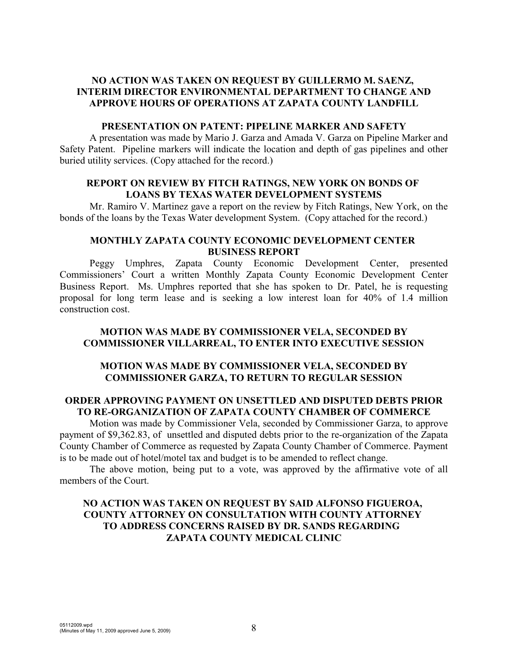# **NO ACTION WAS TAKEN ON REQUEST BY GUILLERMO M. SAENZ, INTERIM DIRECTOR ENVIRONMENTAL DEPARTMENT TO CHANGE AND APPROVE HOURS OF OPERATIONS AT ZAPATA COUNTY LANDFILL**

### **PRESENTATION ON PATENT: PIPELINE MARKER AND SAFETY**

A presentation was made by Mario J. Garza and Amada V. Garza on Pipeline Marker and Safety Patent. Pipeline markers will indicate the location and depth of gas pipelines and other buried utility services. (Copy attached for the record.)

### **REPORT ON REVIEW BY FITCH RATINGS, NEW YORK ON BONDS OF LOANS BY TEXAS WATER DEVELOPMENT SYSTEMS**

Mr. Ramiro V. Martinez gave a report on the review by Fitch Ratings, New York, on the bonds of the loans by the Texas Water development System. (Copy attached for the record.)

# **MONTHLY ZAPATA COUNTY ECONOMIC DEVELOPMENT CENTER BUSINESS REPORT**

Peggy Umphres, Zapata County Economic Development Center, presented Commissioners' Court a written Monthly Zapata County Economic Development Center Business Report. Ms. Umphres reported that she has spoken to Dr. Patel, he is requesting proposal for long term lease and is seeking a low interest loan for 40% of 1.4 million construction cost.

## **MOTION WAS MADE BY COMMISSIONER VELA, SECONDED BY COMMISSIONER VILLARREAL, TO ENTER INTO EXECUTIVE SESSION**

## **MOTION WAS MADE BY COMMISSIONER VELA, SECONDED BY COMMISSIONER GARZA, TO RETURN TO REGULAR SESSION**

# **ORDER APPROVING PAYMENT ON UNSETTLED AND DISPUTED DEBTS PRIOR TO RE-ORGANIZATION OF ZAPATA COUNTY CHAMBER OF COMMERCE**

Motion was made by Commissioner Vela, seconded by Commissioner Garza, to approve payment of \$9,362.83, of unsettled and disputed debts prior to the re-organization of the Zapata County Chamber of Commerce as requested by Zapata County Chamber of Commerce. Payment is to be made out of hotel/motel tax and budget is to be amended to reflect change.

The above motion, being put to a vote, was approved by the affirmative vote of all members of the Court.

# **NO ACTION WAS TAKEN ON REQUEST BY SAID ALFONSO FIGUEROA, COUNTY ATTORNEY ON CONSULTATION WITH COUNTY ATTORNEY TO ADDRESS CONCERNS RAISED BY DR. SANDS REGARDING ZAPATA COUNTY MEDICAL CLINIC**